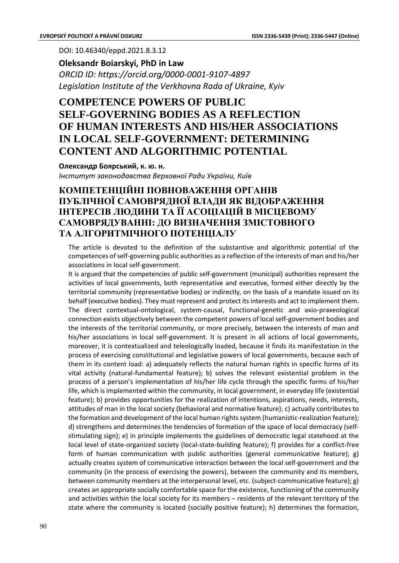DOI: 10.46340/eppd.2021.8.3.12

**Oleksandr Boiarskyi, PhD in Law** *ORCID ID: https://orcid.org/0000-0001-9107-4897 Legislation Institute of the Verkhovna Rada of Ukraine, Kyiv*

## **COMPETENCE POWERS OF PUBLIC SELF-GOVERNING BODIES AS A REFLECTION OF HUMAN INTERESTS AND HIS/HER ASSOCIATIONS IN LOCAL SELF-GOVERNMENT: DETERMINING CONTENT AND ALGORITHMIC POTENTIAL**

**Олександр Боярський, к. ю. н.** *Інститут законодавства Верховної Ради України, Київ*

## **КОМПЕТЕНЦІЙНІ ПОВНОВАЖЕННЯ ОРГАНІВ ПУБЛІЧНОЇ САМОВРЯДНОЇ ВЛАДИ ЯК ВІДОБРАЖЕННЯ ІНТЕРЕСІВ ЛЮДИНИ ТА ЇЇ АСОЦІАЦІЙ В МІСЦЕВОМУ САМОВРЯДУВАННІ: ДО ВИЗНАЧЕННЯ ЗМІСТОВНОГО ТА АЛГОРИТМІЧНОГО ПОТЕНЦІАЛУ**

The article is devoted to the definition of the substantive and algorithmic potential of the competences of self-governing public authorities as a reflection of the interests of man and his/her associations in local self-government.

It is argued that the competencies of public self-government (municipal) authorities represent the activities of local governments, both representative and executive, formed either directly by the territorial community (representative bodies) or indirectly, on the basis of a mandate issued on its behalf (executive bodies). They must represent and protect its interests and act to implement them. The direct contextual-ontological, system-causal, functional-genetic and axio-praxeological connection exists objectively between the competent powers of local self-government bodies and the interests of the territorial community, or more precisely, between the interests of man and his/her associations in local self-government. It is present in all actions of local governments, moreover, it is contextualized and teleologically loaded, because it finds its manifestation in the process of exercising constitutional and legislative powers of local governments, because each of them in its content load: a) adequately reflects the natural human rights in specific forms of its vital activity (natural-fundamental feature); b) solves the relevant existential problem in the process of a person's implementation of his/her life cycle through the specific forms of his/her life, which is implemented within the community, in local government, in everyday life (existential feature); b) provides opportunities for the realization of intentions, aspirations, needs, interests, attitudes of man in the local society (behavioral and normative feature); c) actually contributes to the formation and development of the local human rights system (humanistic-realization feature); d) strengthens and determines the tendencies of formation of the space of local democracy (selfstimulating sign); e) in principle implements the guidelines of democratic legal statehood at the local level of state-organized society (local-state-building feature); f) provides for a conflict-free form of human communication with public authorities (general communicative feature); g) actually creates system of communicative interaction between the local self-government and the community (in the process of exercising the powers), between the community and its members, between community members at the interpersonal level, etc. (subject-communicative feature); g) creates an appropriate socially comfortable space for the existence, functioning of the community and activities within the local society for its members – residents of the relevant territory of the state where the community is located (socially positive feature); h) determines the formation,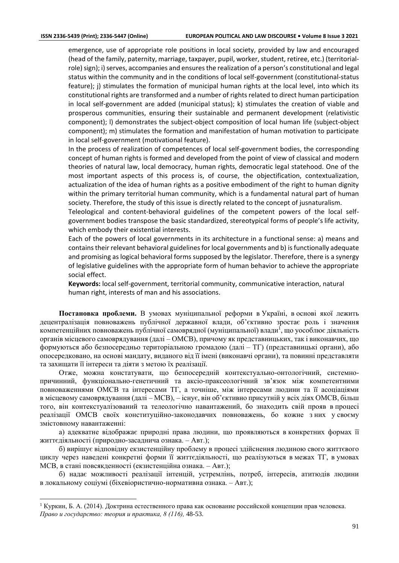emergence, use of appropriate role positions in local society, provided by law and encouraged (head of the family, paternity, marriage, taxpayer, pupil, worker, student, retiree, etc.) (territorialrole) sign); i) serves, accompanies and ensures the realization of a person's constitutional and legal status within the community and in the conditions of local self-government (constitutional-status feature); j) stimulates the formation of municipal human rights at the local level, into which its constitutional rights are transformed and a number of rights related to direct human participation in local self-government are added (municipal status); k) stimulates the creation of viable and prosperous communities, ensuring their sustainable and permanent development (relativistic component); l) demonstrates the subject-object composition of local human life (subject-object component); m) stimulates the formation and manifestation of human motivation to participate in local self-government (motivational feature).

In the process of realization of competences of local self-government bodies, the corresponding concept of human rights is formed and developed from the point of view of classical and modern theories of natural law, local democracy, human rights, democratic legal statehood. One of the most important aspects of this process is, of course, the objectification, contextualization, actualization of the idea of human rights as a positive embodiment of the right to human dignity within the primary territorial human community, which is a fundamental natural part of human society. Therefore, the study of this issue is directly related to the concept of jusnaturalism.

Teleological and content-behavioral guidelines of the competent powers of the local selfgovernment bodies transpose the basic standardized, stereotypical forms of people's life activity, which embody their existential interests.

Each of the powers of local governments in its architecture in a functional sense: a) means and contains their relevant behavioral guidelines for local governments and b) is functionally adequate and promising as logical behavioral forms supposed by the legislator. Therefore, there is a synergy of legislative guidelines with the appropriate form of human behavior to achieve the appropriate social effect.

**Keywords:** local self-government, territorial community, communicative interaction, natural human right, interests of man and his associations.

**Постановка проблеми.** В умовах муніципальної реформи в Україні, в основі якої лежить децентралізація повноважень публічної державної влади, об'єктивно зростає роль і значення компетенційних повноважень публічної самоврядної (муніципальної) влади  $^{\text{I}}$ , що уособлює діяльність органів місцевого самоврядування (далі – ОМСВ), причому як представницьких, так і виконавчих, що формуються або безпосередньо територіальною громадою (далі – ТГ) (представницькі органи), або опосередковано, на основі мандату, виданого від її імені (виконавчі органи), та повинні представляти та захищати її інтереси та діяти з метою їх реалізації.

Отже, можна констатувати, що безпосередній контекстуально-онтологічний, системнопричинний, функціонально-генетичний та аксіо-праксеологічний зв'язок між компетентними повноваженнями ОМСВ та інтересами ТГ, а точніше, між інтересами людини та її асоціаціями в місцевому самоврядування (далі – МСВ), – існує, він об'єктивно присутній у всіх діях ОМСВ, більш того, він контекстуалізований та телеологічно навантажений, бо знаходить свій прояв в процесі реалізації ОМСВ своїх конституційно-законодавчих повноважень, бо кожне з них у своєму змістовному навантаженні:

а) адекватне відображає природні права людини, що проявляються в конкретних формах її життєдіяльності (природно-засаднича ознака. – Авт.);

б) вирішує відповідну екзистенційну проблему в процесі здійснення людиною свого життєвого циклу через наведені конкретні форми її життєдіяльності, що реалізуються в межах ТГ, в умовах МСВ, в стані повсякденності (екзистенційна ознака. – Авт.);

б) надає можливості реалізації інтенцій, устремлінь, потреб, інтересів, атитюдів людини в локальному соціумі (біхевіористично-нормативна ознака. – Авт.);

<sup>&</sup>lt;sup>1</sup> Куркин, Б. А. (2014). Доктрина естественного права как основание российской концепции прав человека. *Право и государство: теория и практика, 8 (116),* 48-53.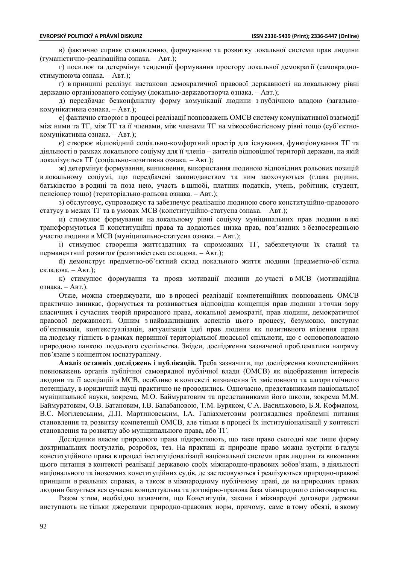в) фактично сприяє становленню, формуванню та розвитку локальної системи прав людини (гуманістично-реалізаційна ознака. – Авт.);

г) посилює та детермінує тенденції формування простору локальної демократії (самоврядностимулююча ознака. – Авт.);

ґ) в принципі реалізує настанови демократичної правової державності на локальному рівні державно організованого соціуму (локально-державотворча ознака. – Авт.);

д) передбачає безконфліктну форму комунікації людини з публічною владою (загальнокомунікативна ознака. – Авт.);

е) фактично створює в процесі реалізації повноважень ОМСВ систему комунікативної взаємодії між ними та ТГ, між ТГ та її членами, між членами ТГ на міжособистісному рівні тощо (суб'єктнокомунікативна ознака. – Авт.);

є) створює відповідний соціально-комфортний простір для існування, функціонування ТГ та діяльності в рамках локального соціуму для її членів – жителів відповідної території держави, на якій локалізується ТГ (соціально-позитивна ознака. – Авт.);

ж) детермінує формування, виникнення, використання людиною відповідних рольових позицій в локальному соціумі, що передбачені законодавством та ним заохочуються (глава родини, батьківство в родині та поза нею, участь в шлюбі, платник податків, учень, робітник, студент, пенсіонер тощо) (територіально-рольова ознака. – Авт.);

з) обслуговує, супроводжує та забезпечує реалізацію людиною свого конституційно-правового статусу в межах ТГ та в умовах МСВ (конституційно-статусна ознака. – Авт.);

и) стимулює формування на локальному рівні соціуму муніципальних прав людини в які трансформуються її конституційні права та додаються низка прав, пов'язаних з безпосередньою участю людини в МСВ (муніципально-статусна ознака. – Авт.);

і) стимулює створення життєздатних та спроможних ТГ, забезпечуючи їх сталий та перманентний розвиток (релятивістська складова. – Авт.);

й) демонструє предметно-об'єктний склад локального життя людини (предметно-об'єктна складова. – Авт.);

к) стимулює формування та прояв мотивації людини до участі в МСВ (мотиваційна ознака. – Авт.).

Отже, можна стверджувати, що в процесі реалізації компетенційних повноважень ОМСВ практично виникає, формується та розвивається відповідна концепція прав людини з точки зору класичних і сучасних теорій природного права, локальної демократії, прав людини, демократичної правової державності. Одним з найважливіших аспектів цього процесу, безумовно, виступає об'єктивація, контекстуалізація, актуалізація ідеї прав людини як позитивного втілення права на людську гідність в рамках первинної територіальної людської спільноти, що є основоположною природною ланкою людського суспільства. Звідси, дослідження зазначеної проблематики напряму пов'язане з концептом юснатуралізму.

**Аналіз останніх досліджень і публікацій.** Треба зазначити, що дослідження компетенційних повноважень органів публічної самоврядної публічної влади (ОМСВ) як відображення інтересів людини та її асоціацій в МСВ, особливо в контексті визначення їх змістовного та алгоритмічного потенціалу, в юридичній науці практично не проводились. Одночасно, представниками національної муніципальної науки, зокрема, М.О. Баймуратовим та представниками його школи, зокрема М.М. Баймуратовим, О.В. Батановим, І.В. Балабановою, Т.М. Буряком, Є.А. Васильковою, Б.Я. Кофманом, В.С. Могілевським, Д.П. Мартиновським, І.А. Галіахметовим розглядалися проблемні питання становлення та розвитку компетенції ОМСВ, але тільки в процесі їх інституціоналізації у контексті становлення та розвитку або муніципального права, або ТГ.

Дослідники власне природного права підкреслюють, що таке право сьогодні має лише форму доктринальних постулатів, розробок, тез. На практиці ж природне право можна зустріти в галузі конституційного права в процесі інституціоналізації національної системи прав людини та виконання цього питання в контексті реалізації державою своїх міжнародно-правових зобов'язань, в діяльності національного та іноземних конституційних судів, де застосовуються і реалізуються природно-правові принципи в реальних справах, а також в міжнародному публічному праві, де на природних правах людини базується вся сучасна концептуальна та договірно-правова база міжнародного співтовариства.

Разом з тим, необхідно зазначити, що Конституція, закони і міжнародні договори держави виступають не тільки джерелами природно-правових норм, причому, саме в тому обсязі, в якому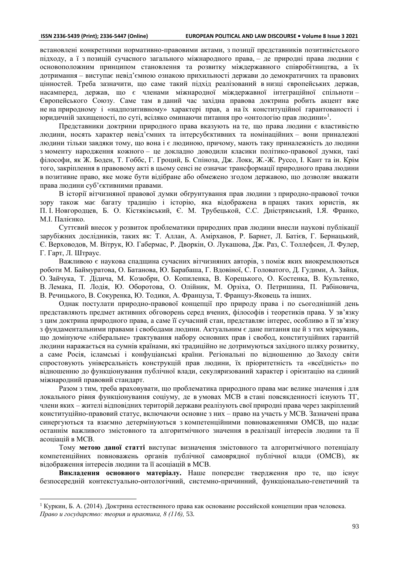встановлені конкретними нормативно-правовими актами, з позиції представників позитивістського підходу, а ї з позицій сучасного загального міжнародного права, – де природні права людини є основоположним принципом становлення та розвитку міждержавного співробітництва, а їх дотримання – виступає невід'ємною ознакою прихильності держави до демократичних та правових цінностей. Треба зазначити, що саме такий підхід реалізований в низці європейських держав, насамперед, держав, що є членами міжнародної міждержавної інтеграційної спільноти – Європейського Союзу. Саме там в даний час західна правова доктрина робить акцент вже не на природному і «надпозитивному» характері прав, а на їх конституційної гарантованості і юридичній захищеності, по суті, всіляко оминаючи питання про «онтологію прав людини»<sup>1</sup>.

Представники доктрини природного права вказують на те, що права людини є властивістю людини, носять характер невід'ємних та інтерсубєктивних та номінаційних – вони приналежні людини тільки завдяки тому, що вона і є людиною, причому, мають таку приналежність до людини з моменту народження кожного – це докладно доводили класики політико-правової думки, такі філософи, як Ж. Боден, Т. Гоббс, Г. Гроций, Б. Спіноза, Дж. Локк, Ж.-Ж. Руссо, І. Кант та ін. Крім того, закріплення в правовому акті в цьому сенсі не означає трансформації природного права людини в позитивне право, яке може бути відібране або обмежено згодом державою, що дозволяє вважати права людини суб'єктивними правами.

В історії вітчизняної правової думки обґрунтування прав людини з природно-правової точки зору також має багату традицію і історію, яка відображена в працях таких юристів, як П. І. Новгородцев, Б. О. Кістяківський, Є. М. Трубецькой, С.С. Дністрянський, І.Я. Франко, М.І. Палієнко.

Суттєвий внесок у розвиток проблематики природних прав людини внесли наукові публікації зарубіжних дослідників, таких як: Т. Аллан, А. Амірханов, Р. Барнет, Л. Батієв, Г. Бернацький, Є. Верховодов, М. Вітрук, Ю. Габермас, Р. Дворкін, О. Лукашова, Дж. Раз, С. Толлефсен, Л. Фулер, Г. Гарт, Л. Штраус.

Важливою є наукова спадщина сучасних вітчизняних авторів, з поміж яких виокремлюються роботи М. Баймуратова, О. Батанова, Ю. Барабаша, Г. Вдовіної, С. Головатого, Д. Гудими, А. Зайця, О. Зайчука, Т. Дідича, М. Козюбри, О. Копиленка, В. Корецького, О. Костенка, В. Культенко, В. Лемака, П. Лодія, Ю. Оборотова, О. Олійник, М. Орзіха, О. Петришина, П. Рабіновича, В. Речицького, В. Сокуренка, Ю. Тодики, А. Француза, Т. Француз-Яковець та інших.

Однак постулати природно-правової концепції про природу права і по сьогоднішній день представляють предмет активних обговорень серед вчених, філософів і теоретиків права. У зв'язку з цим доктрина природного права, а саме її сучасний стан, представляє інтерес, особливо в її зв'язку з фундаментальними правами і свободами людини. Актуальним є дане питання ще й з тих міркувань, що домінуюче «ліберальне» трактування набору основних прав і свобод, конституційних гарантій людини наражається на сумнів країнами, які традиційно не дотримуються західного шляху розвитку, а саме Росія, ісламські і конфуціанські країни. Регіональні по відношенню до Заходу світи спростовують універсальність конструкцій прав людини, їх пріоритетність та «всеїдність» по відношенню до функціонування публічної влади, секуляризований характер і орієнтацію на єдиний міжнародний правовий стандарт.

Разом з тим, треба враховувати, що проблематика природного права має велике значення і для локального рівня функціонування соціуму, де в умовах МСВ в стані повсякденності існують ТГ, члени яких – жителі відповідних територій держави реалізують свої природні права через закріплений конституційно-правовий статус, включаючи основне з них – право на участь у МСВ. Зазначені права синергуються та взаємно детермінуються з компетенційними повноваженнями ОМСВ, що надає останнім важливого змістовного та алгоритмічного значення в реалізації інтересів людини та її асоціацій в МСВ.

Тому **метою даної статті** виступає визначення змістовного та алгоритмічного потенціалу компетенційних повноважень органів публічної самоврядної публічної влади (ОМСВ), як відображення інтересів людини та її асоціацій в МСВ.

**Викладення основного матеріалу.** Наше попереднє твердження про те, що існує безпосередній контекстуально-онтологічний, системно-причинний, функціонально-генетичний та

<sup>&</sup>lt;sup>1</sup> Куркин, Б. А. (2014). Доктрина естественного права как основание российской концепции прав человека. *Право и государство: теория и практика, 8 (116),* 53.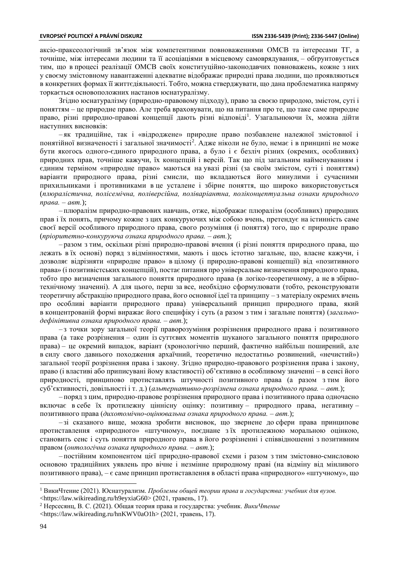аксіо-праксеологічний зв'язок між компетентними повноваженнями ОМСВ та інтересами ТГ, а точніше, між інтересами людини та її асоціаціями в місцевому самоврядування, – обґрунтовується тим, що в процесі реалізації ОМСВ своїх конституційно-законодавчих повноважень, кожне з них у своєму змістовному навантаженні адекватне відображає природні права людини, що проявляються в конкретних формах її життєдіяльності. Тобто, можна стверджувати, що дана проблематика напряму торкається основоположних настанов юснатуралізму.

Згідно юснатуралізму (природно-правовому підходу), право за своєю природою, змістом, суті і поняттям – це природне право. Але треба враховувати, що на питання про те, що таке саме природне право, різні природно-правові концепції дають різні відповіді<sup>1</sup>. Узагальнюючи їх, можна дійти наступних висновків:

– як традиційне, так і «відроджене» природне право позбавлене належної змістовної і понятійної визначеності і загальної значимості<sup>2</sup>. Адже ніколи не було, немає і в принципі не може бути якогось одного-єдиного природного права, а було і є безліч різних (окремих, особливих) природних прав, точніше кажучи, їх концепцій і версій. Так що під загальним найменуванням і єдиним терміном «природне право» маються на увазі різні (за своїм змістом, суті і поняттям) варіанти природного права, різні смисли, що вкладаються його минулими і сучасними прихильниками і противниками в це усталене і збірне поняття, що широко використовується (*плюралістична, полісемічна, поліверсійна, поліваріантна, поліконцептуальна ознаки природного права. – авт.*);

– плюралізм природно-правових навчань, отже, відображає плюралізм (особливих) природних прав і їх понять, причому кожне з цих конкуруючих між собою вчень, претендує на істинність саме своєї версії особливого природного права, свого розуміння (і поняття) того, що є природне право (*пріоритетно-конкуруюча ознака природного права. – авт.*);

– разом з тим, оскільки різні природно-правові вчення (і різні поняття природного права, що лежать в їх основі) поряд з відмінностями, мають і щось істотно загальне, що, власне кажучи, і дозволяє відрізняти «природне право» в цілому (і природно-правові концепції) від «позитивного права» (і позитивістських концепцій), постає питання про універсальне визначення природного права, тобто про визначення загального поняття природного права (в логіко-теоретичному, а не в збірнотехнічному значенні). А для цього, перш за все, необхідно сформулювати (тобто, реконструювати теоретичну абстракцію природного права, його основної ідеї та принципу – з матеріалу окремих вчень про особливі варіанти природного права) універсальний принцип природного права, який в концентрованій формі виражає його специфіку і суть (а разом з тим і загальне поняття) (*загальнодефінітивна ознака природного права. – авт.*);

– з точки зору загальної теорії праворозуміння розрізнення природного права і позитивного права (а таке розрізнення – один із суттєвих моментів шуканого загального поняття природного права) – це окремий випадок, варіант (хронологічно перший, фактично найбільш поширений, але в силу свого давнього походження архаїчний, теоретично недостатньо розвинений, «нечистий») загальної теорії розрізнення права і закону. Згідно природно-правового розрізнення права і закону, право (і властиві або приписувані йому властивості) об'єктивно в особливому значенні – в сенсі його природності, принципово протиставлять штучності позитивного права (а разом з тим його суб'єктивності, довільності і т. д.) (*альтернативно-розрізнена ознака природного права. – авт.*);

– поряд з цим, природно-правове розрізнення природного права і позитивного права одночасно включає в себе їх протилежну ціннісну оцінку: позитивну – природного права, негативну – позитивного права (*дихотомічно-оцінювальна ознака природного права. – авт.*);

– зі сказаного вище, можна зробити висновок, що звернене до сфери права принципове протиставлення «природного» «штучному», поєднане з їх протилежною моральною оцінкою, становить сенс і суть поняття природного права в його розрізненні і співвідношенні з позитивним правом (*онтологічна ознака природного права. – авт.*);

– постійним компонентом цієї природно-правової схеми і разом з тим змістовно-смисловою основою традиційних уявлень про вічне і незмінне природному праві (на відміну від мінливого позитивного права), – є саме принцип протиставлення в області права «природного» «штучному», що

<sup>1</sup> ВикиЧтение (2021). Юснатурализм. *Проблемы общей теории права и государства: учебник для вузов.*  <https://law.wikireading.ru/h9eyxiaG60> (2021, травень, 17).

<sup>2</sup> Нерсесянц, В. С. (2021). Общая теория права и государства: учебник. *ВикиЧтение*

<sup>&</sup>lt;https://law.wikireading.ru/hnKWV0aO1h> (2021, травень, 17).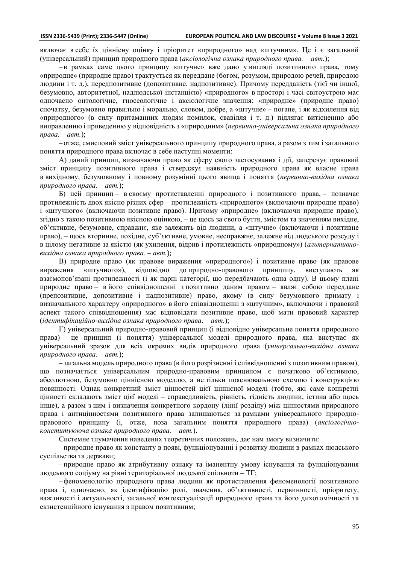включає в себе їх ціннісну оцінку і пріоритет «природного» над «штучним». Це і є загальний (універсальний) принцип природного права (*аксіологічна ознака природного права. – авт.*);

– в рамках саме цього принципу «штучне» вже дано у вигляді позитивного права, тому «природне» (природне право) трактується як переддане (богом, розумом, природою речей, природою людини і т. д.), передпозитивне (допозитивне, надпозитивне). Причому передданість (тієї чи іншої, безумовно, авторитетної, надлюдської інстанцією) «природного» в просторі і часі світоустрою має одночасно онтологічне, гносеологічне і аксіологічне значення: «природне» (природне право) спочатку, безумовно правильно і морально, словом, добре, а «штучне» – погане, і як відхилення від «природного» (в силу притаманних людям помилок, свавілля і т. д.) підлягає витісненню або виправленню і приведенню у відповідність з «природним» (*первинно-універсальна ознака природного права. – авт.*);

– отже, смисловий зміст універсального принципу природного права, а разом з тим і загального поняття природного права включає в себе наступні моменти:

А) даний принцип, визначаючи право як сферу свого застосування і дії, заперечує правовий зміст принципу позитивного права і стверджує наявність природного права як власне права в вихідному, безумовному і повному розумінні цього явища і поняття (*первинно-вихідна ознака природного права. – авт.*);

Б) цей принцип – в своєму протиставленні природного і позитивного права, – позначає протилежність двох якісно різних сфер – протилежність «природного» (включаючи природне право) і «штучного» (включаючи позитивне право). Причому «природне» (включаючи природне право), згідно з такою позитивною якісною оцінкою, – це щось за свого буття, змістом та значенням вихідне, об'єктивне, безумовне, справжнє, яке залежить від людини, а «штучне» (включаючи і позитивне право), – щось вторинне, похідне, суб'єктивне, умовне, несправжнє, залежне від людського розсуду і в цілому негативне за якістю (як ухилення, відрив і протилежність «природному») (*альтернативновихідна ознака природного права. – авт.*);

В) природне право (як правове вираження «природного») і позитивне право (як правове вираження «штучного»), відповідно до природно-правового принципу, виступають як взаємопов'язані протилежності (і як парні категорії, що передбачають одна одну). В цьому плані природне право – в його співвідношенні з позитивно даним правом – являє собою переддане (препозитивне, допозитивне і надпозитивне) право, якому (в силу безумовного примату і визначального характеру «природного» в його співвідношенні з «штучним», включаючи і правовий аспект такого співвідношення) має відповідати позитивне право, щоб мати правовий характер (*ідентифікаційно-вихідна ознака природного права. – авт.*);

Г) універсальний природно-правовий принцип (і відповідно універсальне поняття природного права) – це принцип (і поняття) універсальної моделі природного права, яка виступає як універсальний зразок для всіх окремих видів природного права (*універсально-вихідна ознака природного права. – авт.*);

– загальна модель природного права (в його розрізненні і співвідношенні з позитивним правом), що позначається універсальним природно-правовим принципом є початково об'єктивною, абсолютною, безумовно ціннісною моделлю, а не тільки пояснювальною схемою і конструкцією повинності. Однак конкретний зміст цінностей цієї ціннісної моделі (тобто, які саме конкретні цінності складають зміст цієї моделі – справедливість, рівність, гідність людини, істина або щось інше), а разом з цим і визначення конкретного кордону (лінії розділу) між цінностями природного права і антицінностями позитивного права залишаються за рамками універсального природноправового принципу (і, отже, поза загальним поняття природного права) (*аксіологічноконституююча ознака природного права. – авт.*).

Системне тлумачення наведених теоретичних положень, дає нам змогу визначити:

– природне право як константу в появі, функціонуванні і розвитку людини в рамках людського суспільства та держави;

– природне право як атрибутивну ознаку та іманентну умову існування та функціонування людського соціуму на рівні територіальної людської спільноти – ТГ;

–феноменологію природного права людини як протиставлення феноменології позитивного права і, одночасно, як ідентифікацію ролі, значення, об'єктивності, первинності, пріоритету, важливості і актуальності, загальної контекстуалізації природного права та його дихотомічності та екзистенційного існування з правом позитивним;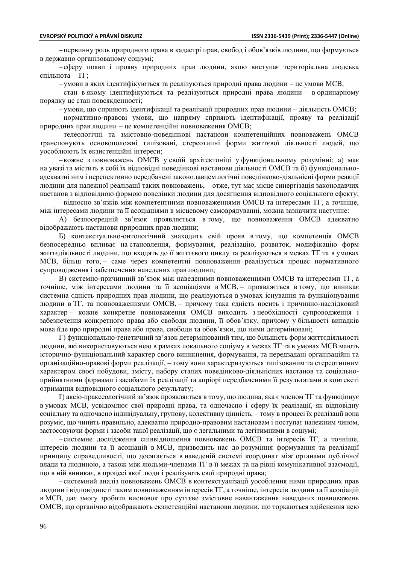– первинну роль природного права в кадастрі прав, свобод і обов'язків людини, що формується в державно організованому соціумі;

– сферу появи і прояву природних прав людини, якою виступає територіальна людська спільнота – ТГ;

– умови в яких ідентифікуються та реалізуються природні права людини – це умови МСВ;

– стан в якому ідентифікуються та реалізуються природні права людини – в ординарному порядку це стан повсякденності;

– умови, що сприяють ідентифікації та реалізації природних прав людини – діяльність ОМСВ;

– нормативно-правові умови, що напряму сприяють ідентифікації, прояву та реалізації природних прав людини – це компетенційні повноваження ОМСВ;

– телеологічні та змістовно-поведінкові настанови компетенційних повноважень ОМСВ транспонують основоположні типізовані, стереотипні форми життєвої діяльності людей, що уособлюють їх екзистенційні інтереси;

– кожне з повноважень ОМСВ у своїй архітектоніці у функціональному розумінні: а) має на увазі та містить в собі їх відповідні поведінкові настанови діяльності ОМСВ та б) функціональноадекватні ним і перспективно передбачені законодавцем логічні поведінково-діяльнісні форми реакції людини для належної реалізації таких повноважень, – отже, тут має місце синергізація законодавчих настанов з відповідною формою поведінки людини для досягнення відповідного соціального ефекту;

– відносно зв'язків між компетентними повноваженнями ОМСВ та інтересами ТГ, а точніше, між інтересами людини та її асоціаціями в місцевому самоврядуванні, можна зазначити наступне:

А) безпосередній зв'язок проявляється в тому, що повноваження ОМСВ адекватно відображають настанови природних прав людини;

Б) контекстуально-онтологічний знаходить свій прояв в тому, що компетенція ОМСВ безпосередньо впливає на становлення, формування, реалізацію, розвиток, модифікацію форм життєдіяльності людини, що входять до її життєвого циклу та реалізуються в межах ТГ та в умовах МСВ, більш того, – саме через компетентні повноваження реалізується процес нормативного супроводження і забезпечення наведених прав людини;

В) системно-причинний зв'язок між наведеними повноваженнями ОМСВ та інтересами ТГ, а точніше, між інтересами людини та її асоціаціями в МСВ, – проявляється в тому, що виникає системна єдність природних прав людини, що реалізуються в умовах існування та функціонування людини в ТГ, та повноваженнями ОМСВ, – причому така єдність носить і причинно-наслідковий характер – кожне конкретне повноваження ОМСВ виходить з необхідності супроводження і забезпечення конкретного права або свободи людини, її обов'язку, причому у більшості випадків мова йде про природні права або права, свободи та обов'язки, що ними детерміновані;

Г) функціонально-генетичний зв'язок детермінований тим, що більшість форм життєдіяльності людини, які використовуються нею в рамках локального соціуму в межах ТГ та в умовах МСВ мають історично-функціональний характер свого виникнення, формування, та передзадані організаційні та організаційно-правові форми реалізації, – тому вони характеризуються типізованим та стереотипним характером своєї побудови, змісту, набору сталих поведінково-діяльнісних настанов та соціальноприйнятними формами і засобами їх реалізації та апріорі передбаченими її результатами в контексті отримання відповідного соціального результату;

Ґ) аксіо-праксеологічний зв'язок проявляється в тому, що людина, яка є членом ТГ та функціонує в умовах МСВ, усвідомлює свої природні права, та одночасно і сферу їх реалізації, як відповідну соціальну та одночасно індивідуальну, групову, колективну цінність, – тому в процесі їх реалізації вона розуміє, що чинить правильно, адекватно природно-правовим настановам і поступає належним чином, застосовуючи форми і засоби такої реалізації, що є легальними та легітимними в соціумі;

– системне дослідження співвідношення повноважень ОМСВ та інтересів ТГ, а точніше, інтересів людини та її асоціацій в МСВ, призводить нас до розуміння формування та реалізації принципу справедливості, що досягається в наведеній системі координат між органами публічної влади та людиною, а також між людьми-членами ТГ в її межах та на рівні комунікативної взаємодії, що в ній виникає, в процесі якої люди і реалізують свої природні права;

– системний аналіз повноважень ОМСВ в контекстуалізації уособлення ними природних прав людини і відповідності таким повноваженням інтересів ТГ, а точніше, інтересів людини та її асоціацій в МСВ, дає змогу зробити висновок про суттєве змістовне навантаження наведених повноважень ОМСВ, що органічно відображають екзистенційні настанови людини, що торкаються здійснення нею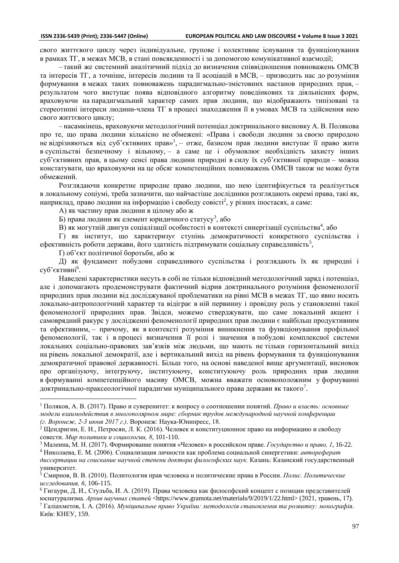свого життєвого циклу через індивідуальне, групове і колективне існування та функціонування в рамках ТГ, в межах МСВ, в стані повсякденності і за допомогою комунікативної взаємодії;

– такий же системний аналітичний підхід до визначення співвідношення повноважень ОМСВ та інтересів ТГ, а точніше, інтересів людини та її асоціацій в МСВ, – призводить нас до розуміння формування в межах таких повноважень парадигмально-змістовних настанов природних прав, – результатом чого виступає поява відповідного алгоритму поведінкових та діяльнісних форм, враховуючи на парадигмальний характер самих прав людини, що відображають типізовані та стереотипні інтереси людини-члена ТГ в процесі знаходження її в умовах МСВ та здійснення нею свого життєвого циклу;

– насамкінець, враховуючи методологічний потенціал доктринального висновку А. В. Полякова про те, що права людини кількісно не обмежені: «Права і свободи людини за своєю природою не відрізняються від суб'єктивних прав»<sup>1</sup>, – отже, базисом прав людини виступає її право жити в суспільстві безпечному і вільному, – а саме це і обумовлює необхідність захисту інших суб'єктивних прав, в цьому сенсі права людини природні в силу їх суб'єктивної природи – можна констатувати, що враховуючи на це обсяг компетенційних повноважень ОМСВ також не може бути обмежений.

Розглядаючи конкретне природне право людини, що нею ідентифікується та реалізується в локальному соціумі, треба зазначити, що найчастіше дослідники розглядають окремі права, такі як, наприклад, право людини на інформацію і свободу совісті<sup>2</sup>, у різних іпостасях, а саме:

А) як частину прав людини в цілому або ж

Б) права людини як елемент юридичного статусу<sup>3</sup>, або

В) як могутній двигун соціалізації особистості в контексті синергізації суспільства<sup>4</sup>, або

Г) як інститут, що характеризує ступінь демократичності конкретного суспільства і ефективність роботи держави, його здатність підтримувати соціальну справедливість<sup>5</sup>,

Ґ) об'єкт політичної боротьби, або ж

Д) як фундамент побудови справедливого суспільства і розглядають їх як природні і суб'єктивні $^6$ .

Наведені характеристики несуть в собі не тільки відповідний методологічний заряд і потенціал, але і допомагають продемонструвати фактичний відрив доктринального розуміння феноменології природних прав людини від досліджуваної проблематики на рівні МСВ в межах ТГ, що явно носить локально-антропологічний характер та відіграє в ній первинну і провідну роль у становленні такої феноменології природних прав. Звідси, можемо стверджувати, що саме локальний акцент і самоврядний ракурс у дослідженні феноменології природних прав людини є найбільш продуктивним та ефективним, – причому, як в контексті розуміння виникнення та функціонування профільної феноменології, так і в процесі визначення її ролі і значення в побудові комплексної системи локальних соціально-правових зав'язків між людьми, що мають не тільки горизонтальний вихід на рівень локальної демократії, але і вертикальний вихід на рівень формування та функціонування демократичної правової державності. Більш того, на основі наведеної вище аргументації, висновок про організуючу, інтегруючу, інституюючу, конституюючу роль природних прав людини в формуванні компетенційного масиву ОМСВ, можна вважати основоположним у формуванні доктринально-праксеологічної парадигми муніципального права держави як такого<sup>7</sup>.

Київ: КНЕУ, 159.

<sup>1</sup> Поляков, А. В. (2017). Право и суверенитет: к вопросу о соотношении понятий. *Право и власть: основные модели взаимодействия в многополярном мире: сборник трудов международной научной конференции (г. Воронеж, 2-3 июня 2017 г.)*. Воронеж: Наука-Юнипресс, 18.

<sup>2</sup> Щендригин, Е. Н., Петросян, Л. К. (2016). Человек и конституционное право на информацию и свободу совести. *Мир политики и социологии, 8*, 101-110.

<sup>3</sup> Малеина, М. Н. (2017). Формирование понятия «Человек» в российском праве. *Государство и право, 1*, 16-22. <sup>4</sup> Николаева, Е. М. (2006). Социализация личности как проблема социальной синергетики: *автореферат*

*диссертации на соискание научной степени доктора философских наук.* Казань: Казанский государственный университет.

<sup>5</sup> Смирнов, В. В. (2010). Политология прав человека и политические права в России. *Полис. Политические исследования, 6*, 106-115.

<sup>6</sup> Гигаури, Д. И., Стульба, И. А. (2019). Права человека как философский концепт с позиции представителей юснатурализма. *Архив научных статей* <https://www.gramota.net/materials/9/2019/1/22.html> (2021, травень, 17). <sup>7</sup> Галіахметов, І. А. (2016). *Муніципальне право України: методологія становлення та розвитку: монографія*.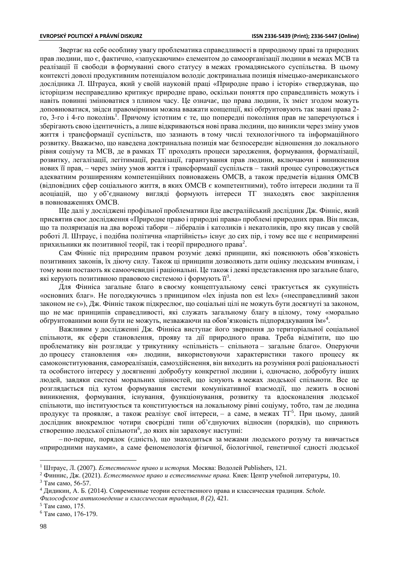Звертає на себе особливу увагу проблематика справедливості в природному праві та природних прав людини, що є, фактично, «запускаючим» елементом до самоорганізації людини в межах МСВ та реалізації її свободи в формуванні свого статусу в межах громадянського суспільства. В цьому контексті доволі продуктивним потенціалом володіє доктринальна позиція німецько-американського дослідника Л. Штрауса, який у своїй науковій праці «Природне право і історія» стверджував, що історіцизм несправедливо критикує природне право, оскільки поняття про справедливість можуть і навіть повинні змінюватися з плином часу. Це означає, що права людини, їх зміст згодом можуть доповнюватися, звідси правомірними можна вважати концепції, які обґрунтовують так звані права 2 го, 3-го і 4-го поколінь<sup>1</sup>. Причому істотним є те, що попередні покоління прав не заперечуються і зберігають свою ідентичність, а лише відкриваються нові права людини, що виникли через зміну умов життя і трансформації суспільств, що зазнають в тому числі технологічного та інформаційного розвитку. Вважаємо, що наведена доктринальна позиція має безпосереднє відношення до локального рівня соціуму та МСВ, де в рамках ТГ проходять процеси зародження, формування, формалізації, розвитку, легалізації, легітимації, реалізації, гарантування прав людини, включаючи і виникнення нових її прав, – через зміну умов життя і трансформації суспільств – такий процес супроводжується адекватним розширенням компетенційних повноважень ОМСВ, а також предметів відання ОМСВ (відповідних сфер соціального життя, в яких ОМСВ є компетентними), тобто інтереси людини та її асоціацій, що у об'єднаному вигляді формують інтереси ТГ знаходять своє закріплення в повноваженнях ОМСВ.

Ще далі у досліджені профільної проблематики йде австралійський дослідник Дж. Фінніс, який присвятив своє дослідження «Природне право і природні права» проблемі природних прав. Він писав, що та поляризація на два ворожі табори – лібералів і католиків і некатоликів, про яку писав у своїй роботі Л. Штраус, і подібна політична «партійність» існує до сих пір, і тому все ще є непримиренні прихильники як позитивної теорії, так і теорії природного права $^2.$ 

Сам Фінніс під природним правом розуміє деякі принципи, які пояснюють обов'язковість позитивних законів, їх діючу силу. Також ці принципи дозволяють дати оцінку людським вчинкам, і тому вони постають як самоочевидні і раціональні. Це також і деякі представлення про загальне благо, які керують позитивною правовою системою і формують її $^3$ .

Для Фінніса загальне благо в своєму концептуальному сенсі трактується як сукупність «основних благ». Не погоджуючись з принципом «lex injusta non est lex» («несправедливий закон законом не є»), Дж. Фінніс також підкреслює, що соціальні цілі не можуть бути досягнуті за законом, що не має принципів справедливості, які служать загальному благу в цілому, тому «морально обґрунтованими вони бути не можуть, незважаючи на обов'язковість підпорядкування їм»<sup>4</sup> .

Важливим у дослідженні Дж. Фінніса виступає його звернення до територіальної соціальної спільноти, як сфери становлення, прояву та дії природного права. Треба відмітити, що цю проблематику він розглядає у трикутнику «спільність – спільнота – загальне благо». Оперуючи до процесу становлення «я» людини, використовуючи характеристики такого процесу як самоконституювання, самореалізація, самоздійснення, він виходить на розуміння ролі раціональності та особистого інтересу у досягненні добробуту конкретної людини і, одночасно, добробуту інших людей, завдяки системі моральних цінностей, що існують в межах людської спільноти. Все це розглядається під кутом формування системи комунікативної взаємодії, що лежить в основі виникнення, формування, існування, функціонування, розвитку та вдосконалення людської спільноти, що інституюється та конституюється на локальному рівні соціуму, тобто, там де людина продукує та проявляє, а також реалізує свої інтереси, - а саме, в межах ТГ<sup>5</sup>. При цьому, даний дослідник виокремлює чотири своєрідні типи об'єднуючих відносин (порядків), що сприяють створенню людської спільноти<sup>6</sup>, до яких він зараховує наступні:

– по-перше, порядок (єдність), що знаходиться за межами людського розуму та вивчається «природними науками», а саме феноменологія фізичної, біологічної, генетичної єдності людської

<sup>1</sup> Штраус, Л. (2007). *Естественное право и история.* Москва: Водолей Publishers, 121.

<sup>2</sup> Финнис, Дж. (2021). *Естественное право и естественные права.* Киев: Центр учебной литературы, 10. <sup>3</sup> Там само, 56-57.

<sup>4</sup> Дидикин, А. Б. (2014). Современные теории естественного права и классическая традиция. *Schole.* 

*Философское антиковедение и классическая традиция, 8 (2),* 421.

<sup>5</sup> Там само, 175.

<sup>6</sup> Там само, 176-179.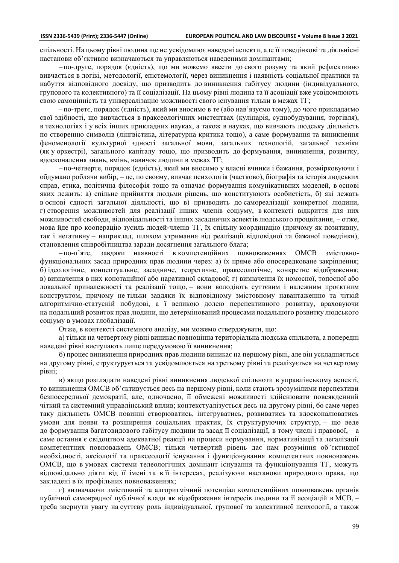спільності. На цьому рівні людина ще не усвідомлює наведені аспекти, але її поведінкові та діяльнісні настанови об'єктивно визначаються та управляються наведеними домінантами;

– по-друге, порядок (єдність), що ми можемо ввести до свого розуму та який рефлективно вивчається в логікі, методології, епістемології, через виникнення і наявність соціальної практики та набуття відповідного досвіду, що призводить до виникнення габітусу людини (індивідуального, групового та колективного) та її соціалізації. На цьому рівні людина та її асоціації вже усвідомлюють свою самоцінність та універсалізацію можливості свого існування тільки в межах ТГ;

– по-третє, порядок (єдність), який ми вносимо в те (або нав'язуємо тому), до чого прикладаємо свої здібності, що вивчається в праксеологічних мистецтвах (кулінарія, суднобудування, торгівля), в технологіях і у всіх інших прикладних науках, а також в науках, що вивчають людську діяльність по створенню символів (лінгвістика, літературна критика тощо), а саме формування та виникнення феноменології культурної єдності загальної мови, загальних технологій, загальної техніки (як у оркестрі), загального капіталу тощо, що призводить до формування, виникнення, розвитку, вдосконалення знань, вмінь, навичок людини в межах ТГ;

– по-четверте, порядок (єдність), який ми вносимо у власні вчинки і бажання, розмірковуючи і обдумано роблячи вибір, – це, по своєму, вивчає психологія (частково), біографія та історія людських справ, етика, політична філософія тощо та означає формування комунікативних моделей, в основі яких лежить: а) спільне прийняття людьми рішень, що конституюють особистість, б) які лежать в основі єдності загальної діяльності, що в) призводить до самореалізації конкретної людини, г) створення можливостей для реалізації інших членів соціуму, в контексті відкриття для них можливостей свободи, відповідальності та інших засадничих аспектів людського процвітання, – отже, мова йде про кооперацію зусиль людей-членів ТГ, їх спільну координацію (причому як позитивну, так і негативну – наприклад, шляхом утримання від реалізації відповідної та бажаної поведінки), становлення співробітництва заради досягнення загального блага;

– по-п'яте, завдяки наявності в компетенційних повноваженнях ОМСВ змістовнофункціональних засад природних прав людини через: а) їх пряме або опосередковане закріплення; б) ідеологічне, концептуальне, засадниче, теоретичне, праксеологічне, конкретне відображення; в) визначення в них конотаційної або наративної складової; г) визначення їх номосної, топосної або локальної приналежності та реалізації тощо, – вони володіють суттєвим і належним проєктним конструктом, причому не тільки завдяки їх відповідному змістовному навантаженню та чіткій алгоритмічно-статусній побудові, а ї великою долею перспективного розвитку, враховуючи на подальший розвиток прав людини, що детермінований процесами подальшого розвитку людського соціуму в умовах глобалізації.

Отже, в контексті системного аналізу, ми можемо стверджувати, що:

а) тільки на четвертому рівні виникає повноцінна територіальна людська спільнота, а попередні наведені рівні виступають лише передумовою її виникнення;

б) процес виникнення природних прав людини виникає на першому рівні, але він ускладняється на другому рівні, структурується та усвідомлюється на третьому рівні та реалізується на четвертому рівні;

в) якщо розглядати наведені рівні виникнення людської спільноти в управлінському аспекті, то виникнення ОМСВ об'єктивується десь на першому рівні, коли стають зрозумілими перспективи безпосередньої демократії, але, одночасно, її обмежені можливості здійснювати повсякденний чіткий та системний управлінський вплив; контекстуалізується десь на другому рівні, бо саме через таку діяльність ОМСВ повинні створюватись, інтегруватись, розвиватись та вдосконалюватись умови для появи та розширення соціальних практик, їх структуруючих структур, – що веде до формування багатовидового габітусу людини та засад її соціалізації, в тому числі і правової, – а саме остання є свідоцтвом адекватної реакції на процеси нормування, нормативізації та легалізації компетентних повноважень ОМСВ; тільки четвертий рівень дає нам розуміння об'єктивної необхідності, аксіології та праксеології існування і функціонування компетентних повноважень ОМСВ, що в умовах системи телеологічних домінант існування та функціонування ТГ, можуть відповідально діяти від її імені та в її інтересах, реалізуючи настанови природного права, що закладені в їх профільних повноваженнях;

г) визначаючи змістовний та алгоритмічний потенціал компетенційних повноважень органів публічної самоврядної публічної влади як відображення інтересів людини та її асоціацій в МСВ, – треба звернути увагу на суттєву роль індивідуальної, групової та колективної психології, а також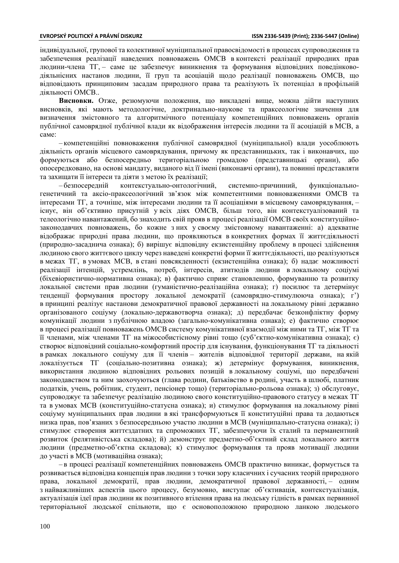індивідуальної, групової та колективної муніципальної правосвідомості в процесах супроводження та забезпечення реалізації наведених повноважень ОМСВ в контексті реалізації природних прав людини-члена ТГ, – саме це забезпечує виникнення та формування відповідних поведінководіяльнісних настанов людини, її груп та асоціацій щодо реалізації повноважень ОМСВ, що відповідають принциповим засадам природного права та реалізують їх потенціал в профільній діяльності ОМСВ..

**Висновки.** Отже, резюмуючи положення, що викладені вище, можна дійти наступних висновків, які мають методологічне, доктринально-наукове та праксеологічне значення для визначення змістовного та алгоритмічного потенціалу компетенційних повноважень органів публічної самоврядної публічної влади як відображення інтересів людини та її асоціацій в МСВ, а саме:

– компетенційні повноваження публічної самоврядної (муніципальної) влади уособлюють діяльність органів місцевого самоврядування, причому як представницьких, так і виконавчих, що формуються або безпосередньо територіальною громадою (представницькі органи), або опосередковано, на основі мандату, виданого від її імені (виконавчі органи), та повинні представляти та захищати її інтереси та діяти з метою їх реалізації;

– безпосередній контекстуально-онтологічний, системно-причинний, функціональногенетичний та аксіо-праксеологічний зв'язок між компетентними повноваженнями ОМСВ та інтересами ТГ, а точніше, між інтересами людини та її асоціаціями в місцевому самоврядування, – існує, він об'єктивно присутній у всіх діях ОМСВ, більш того, він контекстуалізований та телеологічно навантажений, бо знаходить свій прояв в процесі реалізації ОМСВ своїх конституційнозаконодавчих повноважень, бо кожне з них у своєму змістовному навантаженні: а) адекватне відображає природні права людини, що проявляються в конкретних формах її життєдіяльності (природно-засаднича ознака); б) вирішує відповідну екзистенційну проблему в процесі здійснення людиною свого життєвого циклу через наведені конкретні форми її життєдіяльності, що реалізуються в межах ТГ, в умовах МСВ, в стані повсякденності (екзистенційна ознака); б) надає можливості реалізації інтенцій, устремлінь, потреб, інтересів, атитюдів людини в локальному соціумі (біхевіористично-нормативна ознака); в) фактично сприяє становленню, формуванню та розвитку локальної системи прав людини (гуманістично-реалізаційна ознака); г) посилює та детермінує тенденції формування простору локальної демократії (самоврядно-стимулююча ознака); г') в принципі реалізує настанови демократичної правової державності на локальному рівні державно організованого соціуму (локально-державотворча ознака); д) передбачає безконфліктну форму комунікації людини з публічною владою (загально-комунікативна ознака); е) фактично створює в процесі реалізації повноважень ОМСВ систему комунікативної взаємодії між ними та ТГ, між ТГ та її членами, між членами ТГ на міжособистісному рівні тощо (суб'єктно-комунікативна ознака); є) створює відповідний соціально-комфортний простір для існування, функціонування ТГ та діяльності в рамках локального соціуму для її членів – жителів відповідної території держави, на якій локалізується ТГ (соціально-позитивна ознака); ж) детермінує формування, виникнення, використання людиною відповідних рольових позицій в локальному соціумі, що передбачені законодавством та ним заохочуються (глава родини, батьківство в родині, участь в шлюбі, платник податків, учень, робітник, студент, пенсіонер тощо) (територіально-рольова ознака); з) обслуговує, супроводжує та забезпечує реалізацію людиною свого конституційно-правового статусу в межах ТГ та в умовах МСВ (конституційно-статусна ознака); и) стимулює формування на локальному рівні соціуму муніципальних прав людини в які трансформуються її конституційні права та додаються низка прав, пов'язаних з безпосередньою участю людини в МСВ (муніципально-статусна ознака); і) стимулює створення життєздатних та спроможних ТГ, забезпечуючи їх сталий та перманентний розвиток (релятивістська складова); й) демонструє предметно-об'єктний склад локального життя людини (предметно-об'єктна складова); к) стимулює формування та прояв мотивації людини до участі в МСВ (мотиваційна ознака);

– в процесі реалізації компетенційних повноважень ОМСВ практично виникає, формується та розвивається відповідна концепція прав людини з точки зору класичних і сучасних теорій природного права, локальної демократії, прав людини, демократичної правової державності, – одним з найважливіших аспектів цього процесу, безумовно, виступає об'єктивація, контекстуалізація, актуалізація ідеї прав людини як позитивного втілення права на людську гідність в рамках первинної територіальної людської спільноти, що є основоположною природною ланкою людського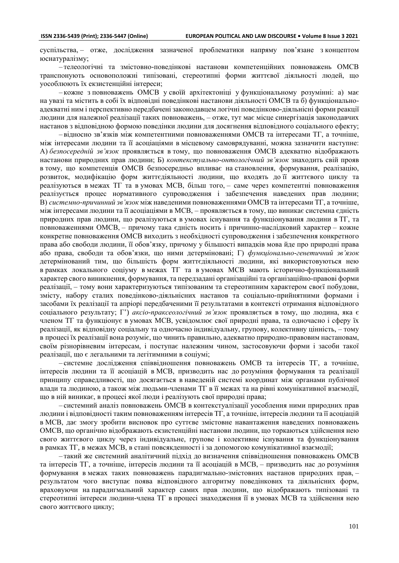суспільства, – отже, дослідження зазначеної проблематики напряму пов'язане з концептом юснатуралізму;

– телеологічні та змістовно-поведінкові настанови компетенційних повноважень ОМСВ транспонують основоположні типізовані, стереотипні форми життєвої діяльності людей, що уособлюють їх екзистенційні інтереси;

– кожне з повноважень ОМСВ у своїй архітектоніці у функціональному розумінні: а) має на увазі та містить в собі їх відповідні поведінкові настанови діяльності ОМСВ та б) функціональноадекватні ним і перспективно передбачені законодавцем логічні поведінково-діяльнісні форми реакції людини для належної реалізації таких повноважень, – отже, тут має місце синергізація законодавчих настанов з відповідною формою поведінки людини для досягнення відповідного соціального ефекту;

– відносно зв'язків між компетентними повноваженнями ОМСВ та інтересами ТГ, а точніше, між інтересами людини та її асоціаціями в місцевому самоврядуванні, можна зазначити наступне: А) *безпосередній зв'язок* проявляється в тому, що повноваження ОМСВ адекватно відображають настанови природних прав людини; Б) *контекстуально-онтологічний зв'язок* знаходить свій прояв в тому, що компетенція ОМСВ безпосередньо впливає на становлення, формування, реалізацію, розвиток, модифікацію форм життєдіяльності людини, що входять до її життєвого циклу та реалізуються в межах ТГ та в умовах МСВ, більш того, – саме через компетентні повноваження реалізується процес нормативного супроводження і забезпечення наведених прав людини; В) *системно-причинний зв'язок* між наведеними повноваженнями ОМСВ та інтересами ТГ, а точніше, між інтересами людини та її асоціаціями в МСВ, – проявляється в тому, що виникає системна єдність природних прав людини, що реалізуються в умовах існування та функціонування людини в ТГ, та повноваженнями ОМСВ, – причому така єдність носить і причинно-наслідковий характер – кожне конкретне повноваження ОМСВ виходить з необхідності супроводження і забезпечення конкретного права або свободи людини, її обов'язку, причому у більшості випадків мова йде про природні права або права, свободи та обов'язки, що ними детерміновані; Г) *функціонально-генетичний зв'язок* детермінований тим, що більшість форм життєдіяльності людини, які використовуються нею в рамках локального соціуму в межах ТГ та в умовах МСВ мають історично-функціональний характер свого виникнення, формування, та передзадані організаційні та організаційно-правові форми реалізації, – тому вони характеризуються типізованим та стереотипним характером своєї побудови, змісту, набору сталих поведінково-діяльнісних настанов та соціально-прийнятними формами і засобами їх реалізації та апріорі передбаченими її результатами в контексті отримання відповідного соціального результату; Г') *аксіо-праксеологічний зв'язок* проявляється в тому, що людина, яка є членом ТГ та функціонує в умовах МСВ, усвідомлює свої природні права, та одночасно і сферу їх реалізації, як відповідну соціальну та одночасно індивідуальну, групову, колективну цінність, – тому в процесі їх реалізації вона розуміє, що чинить правильно, адекватно природно-правовим настановам, своїм різнорівневим інтересам, і поступає належним чином, застосовуючи форми і засоби такої реалізації, що є легальними та легітимними в соціумі;

– системне дослідження співвідношення повноважень ОМСВ та інтересів ТГ, а точніше, інтересів людини та її асоціацій в МСВ, призводить нас до розуміння формування та реалізації принципу справедливості, що досягається в наведеній системі координат між органами публічної влади та людиною, а також між людьми-членами ТГ в її межах та на рівні комунікативної взаємодії, що в ній виникає, в процесі якої люди і реалізують свої природні права;

– системний аналіз повноважень ОМСВ в контекстуалізації уособлення ними природних прав людини і відповідності таким повноваженням інтересів ТГ, а точніше, інтересів людини та її асоціацій в МСВ, дає змогу зробити висновок про суттєве змістовне навантаження наведених повноважень ОМСВ, що органічно відображають екзистенційні настанови людини, що торкаються здійснення нею свого життєвого циклу через індивідуальне, групове і колективне існування та функціонування в рамках ТГ, в межах МСВ, в стані повсякденності і за допомогою комунікативної взаємодії;

– такий же системний аналітичний підхід до визначення співвідношення повноважень ОМСВ та інтересів ТГ, а точніше, інтересів людини та її асоціацій в МСВ, – призводить нас до розуміння формування в межах таких повноважень парадигмально-змістовних настанов природних прав, – результатом чого виступає поява відповідного алгоритму поведінкових та діяльнісних форм, враховуючи на парадигмальний характер самих прав людини, що відображають типізовані та стереотипні інтереси людини-члена ТГ в процесі знаходження її в умовах МСВ та здійснення нею свого життєвого циклу;